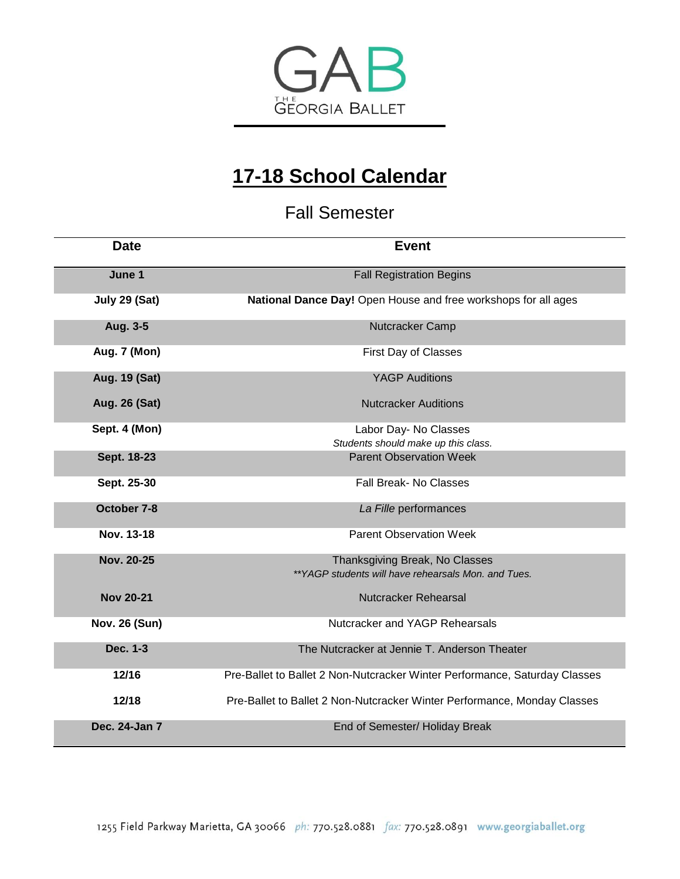

## **17-18 School Calendar**

Fall Semester

| <b>Date</b>          | <b>Event</b>                                                                          |
|----------------------|---------------------------------------------------------------------------------------|
| June 1               | <b>Fall Registration Begins</b>                                                       |
| July 29 (Sat)        | National Dance Day! Open House and free workshops for all ages                        |
| Aug. 3-5             | Nutcracker Camp                                                                       |
| <b>Aug. 7 (Mon)</b>  | First Day of Classes                                                                  |
| Aug. 19 (Sat)        | <b>YAGP Auditions</b>                                                                 |
| Aug. 26 (Sat)        | <b>Nutcracker Auditions</b>                                                           |
| Sept. 4 (Mon)        | Labor Day- No Classes<br>Students should make up this class.                          |
| Sept. 18-23          | <b>Parent Observation Week</b>                                                        |
| Sept. 25-30          | <b>Fall Break- No Classes</b>                                                         |
| October 7-8          | La Fille performances                                                                 |
| Nov. 13-18           | <b>Parent Observation Week</b>                                                        |
| Nov. 20-25           | Thanksgiving Break, No Classes<br>**YAGP students will have rehearsals Mon. and Tues. |
| <b>Nov 20-21</b>     | Nutcracker Rehearsal                                                                  |
| <b>Nov. 26 (Sun)</b> | Nutcracker and YAGP Rehearsals                                                        |
| Dec. 1-3             | The Nutcracker at Jennie T. Anderson Theater                                          |
| 12/16                | Pre-Ballet to Ballet 2 Non-Nutcracker Winter Performance, Saturday Classes            |
| 12/18                | Pre-Ballet to Ballet 2 Non-Nutcracker Winter Performance, Monday Classes              |
| Dec. 24-Jan 7        | End of Semester/ Holiday Break                                                        |